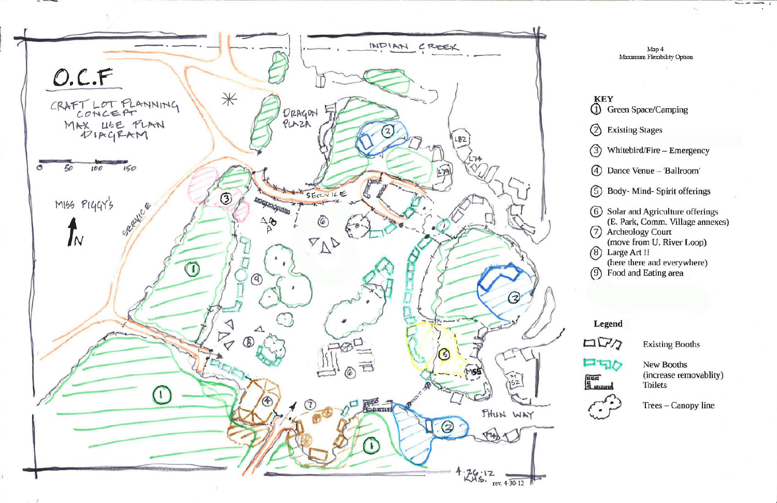

Map 4 Maximum Flexibility Option



- **1** Green Space/Camping
- ➁ **Existing Stages**
- $\binom{3}{}$ Whitebird/Fire - Emergency
- 4 Dance Venue 'Ballroom'
- 5 Body-Mind- Spirit offerings
- 6 Solar and Agriculture offerings (E. Park, Comm. Village annexes)
- (7) Archeology Court
- (move from U. River Loop)
- (8) Large Art !! (here there and everywhere)
- (9) Food and Eating area

Legend



**FFID** 

auri<br>8 stand



**Existing Booths** 

**New Booths** (increase removablity) **Toilets** 

Trees - Canopy line